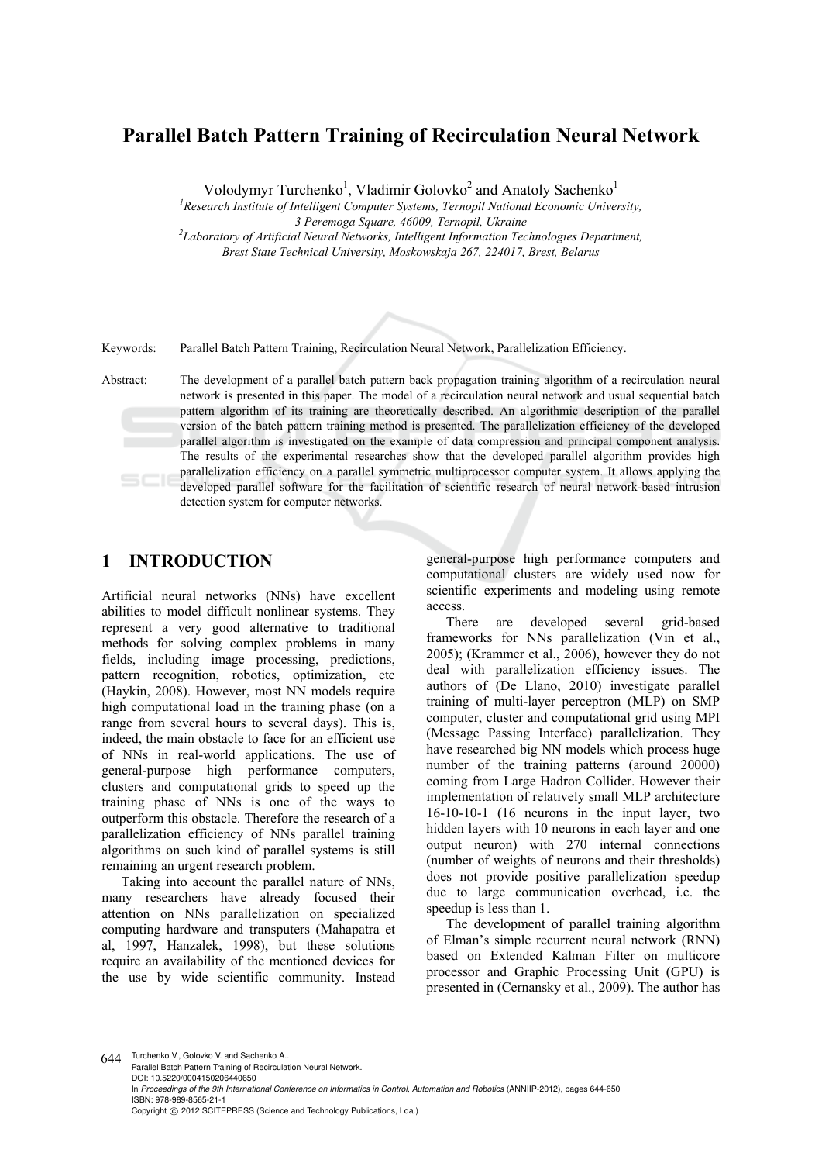# **Parallel Batch Pattern Training of Recirculation Neural Network**

Volodymyr Turchenko<sup>1</sup>, Vladimir Golovko<sup>2</sup> and Anatoly Sachenko<sup>1</sup>

<sup>1</sup> Research Institute of Intelligent Computer Systems, Ternopil National Economic University,

*3 Peremoga Square, 46009, Ternopil, Ukraine 2 Laboratory of Artificial Neural Networks, Intelligent Information Technologies Department,* 

*Brest State Technical University, Moskowskaja 267, 224017, Brest, Belarus* 

Keywords: Parallel Batch Pattern Training, Recirculation Neural Network, Parallelization Efficiency.

Abstract: The development of a parallel batch pattern back propagation training algorithm of a recirculation neural network is presented in this paper. The model of a recirculation neural network and usual sequential batch pattern algorithm of its training are theoretically described. An algorithmic description of the parallel version of the batch pattern training method is presented. The parallelization efficiency of the developed parallel algorithm is investigated on the example of data compression and principal component analysis. The results of the experimental researches show that the developed parallel algorithm provides high parallelization efficiency on a parallel symmetric multiprocessor computer system. It allows applying the developed parallel software for the facilitation of scientific research of neural network-based intrusion detection system for computer networks.

## **1 INTRODUCTION**

Artificial neural networks (NNs) have excellent abilities to model difficult nonlinear systems. They represent a very good alternative to traditional methods for solving complex problems in many fields, including image processing, predictions, pattern recognition, robotics, optimization, etc (Haykin, 2008). However, most NN models require high computational load in the training phase (on a range from several hours to several days). This is, indeed, the main obstacle to face for an efficient use of NNs in real-world applications. The use of general-purpose high performance computers, clusters and computational grids to speed up the training phase of NNs is one of the ways to outperform this obstacle. Therefore the research of a parallelization efficiency of NNs parallel training algorithms on such kind of parallel systems is still remaining an urgent research problem.

Taking into account the parallel nature of NNs, many researchers have already focused their attention on NNs parallelization on specialized computing hardware and transputers (Mahapatra et al, 1997, Hanzalek, 1998), but these solutions require an availability of the mentioned devices for the use by wide scientific community. Instead general-purpose high performance computers and computational clusters are widely used now for scientific experiments and modeling using remote access.

There are developed several grid-based frameworks for NNs parallelization (Vin et al., 2005); (Krammer et al., 2006), however they do not deal with parallelization efficiency issues. The authors of (De Llano, 2010) investigate parallel training of multi-layer perceptron (MLP) on SMP computer, cluster and computational grid using MPI (Message Passing Interface) parallelization. They have researched big NN models which process huge number of the training patterns (around 20000) coming from Large Hadron Collider. However their implementation of relatively small MLP architecture 16-10-10-1 (16 neurons in the input layer, two hidden layers with 10 neurons in each layer and one output neuron) with 270 internal connections (number of weights of neurons and their thresholds) does not provide positive parallelization speedup due to large communication overhead, i.e. the speedup is less than 1.

The development of parallel training algorithm of Elman's simple recurrent neural network (RNN) based on Extended Kalman Filter on multicore processor and Graphic Processing Unit (GPU) is presented in (Cernansky et al., 2009). The author has

644 Turchenko V., Golovko V. and Sachenko A. Parallel Batch Pattern Training of Recirculation Neural Network. DOI: 10.5220/0004150206440650 In *Proceedings of the 9th International Conference on Informatics in Control, Automation and Robotics* (ANNIIP-2012), pages 644-650 ISBN: 978-989-8565-21-1 Copyright © 2012 SCITEPRESS (Science and Technology Publications, Lda.)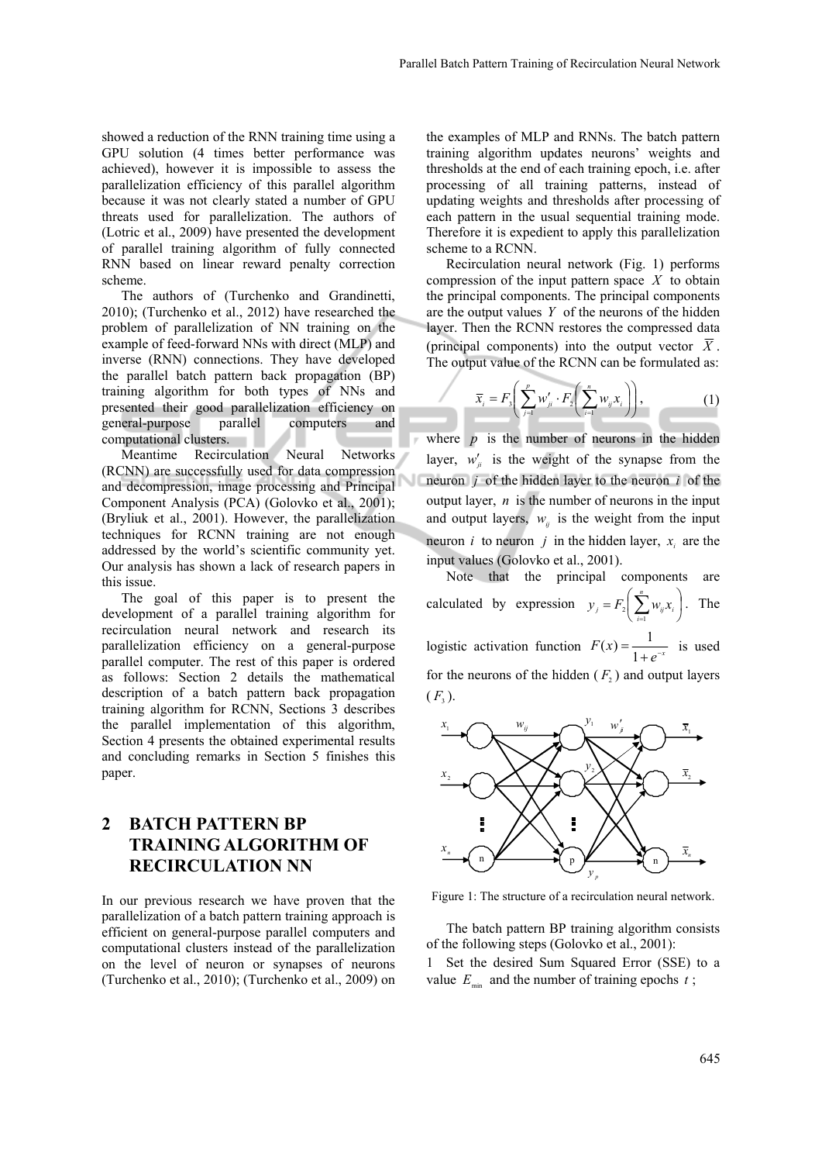showed a reduction of the RNN training time using a GPU solution (4 times better performance was achieved), however it is impossible to assess the parallelization efficiency of this parallel algorithm because it was not clearly stated a number of GPU threats used for parallelization. The authors of (Lotric et al., 2009) have presented the development of parallel training algorithm of fully connected RNN based on linear reward penalty correction scheme.

The authors of (Turchenko and Grandinetti, 2010); (Turchenko et al., 2012) have researched the problem of parallelization of NN training on the example of feed-forward NNs with direct (MLP) and inverse (RNN) connections. They have developed the parallel batch pattern back propagation (BP) training algorithm for both types of NNs and presented their good parallelization efficiency on general-purpose parallel computers and computational clusters.

Meantime Recirculation Neural Networks (RCNN) are successfully used for data compression and decompression, image processing and Principal Component Analysis (PCA) (Golovko et al., 2001); (Bryliuk et al., 2001). However, the parallelization techniques for RCNN training are not enough addressed by the world's scientific community yet. Our analysis has shown a lack of research papers in this issue.

The goal of this paper is to present the development of a parallel training algorithm for recirculation neural network and research its parallelization efficiency on a general-purpose parallel computer. The rest of this paper is ordered as follows: Section 2 details the mathematical description of a batch pattern back propagation training algorithm for RCNN, Sections 3 describes the parallel implementation of this algorithm, Section 4 presents the obtained experimental results and concluding remarks in Section 5 finishes this paper.

## **2 BATCH PATTERN BP TRAINING ALGORITHM OF RECIRCULATION NN**

In our previous research we have proven that the parallelization of a batch pattern training approach is efficient on general-purpose parallel computers and computational clusters instead of the parallelization on the level of neuron or synapses of neurons (Turchenko et al., 2010); (Turchenko et al., 2009) on

the examples of MLP and RNNs. The batch pattern training algorithm updates neurons' weights and thresholds at the end of each training epoch, i.e. after processing of all training patterns, instead of updating weights and thresholds after processing of each pattern in the usual sequential training mode. Therefore it is expedient to apply this parallelization scheme to a RCNN.

Recirculation neural network (Fig. 1) performs compression of the input pattern space *X* to obtain the principal components. The principal components are the output values *Y* of the neurons of the hidden layer. Then the RCNN restores the compressed data (principal components) into the output vector  $\overline{X}$ . The output value of the RCNN can be formulated as:

$$
\overline{x}_i = F_3 \bigg( \sum_{j=1}^p w'_{ji} \cdot F_2 \bigg( \sum_{i=1}^n w_{ij} x_i \bigg) \bigg), \tag{1}
$$

where  $p$  is the number of neurons in the hidden layer,  $w'_{ii}$  is the weight of the synapse from the neuron *j* of the hidden layer to the neuron *i* of the output layer, *n* is the number of neurons in the input and output layers,  $w_{ij}$  is the weight from the input neuron *i* to neuron *j* in the hidden layer,  $x_i$  are the input values (Golovko et al., 2001).

Note that the principal components are calculated by expression  $y_i = F_2 | \sum_{i} w_{ii} x_i |$ ⎠  $\left(\sum_{i=1}^{n}w_{ii}x_i\right)$  $= F_2 \left( \sum_{i=1}^n \right)$  $y_j = F_2 \left( \sum_{i=1}^{j} w_{ij} x_i \right)$ . The logistic activation function  $F(x) = \frac{1}{1 + e^{-x}}$  is used for the neurons of the hidden  $(F_2)$  and output layers  $(F_2)$ .



Figure 1: The structure of a recirculation neural network.

The batch pattern BP training algorithm consists of the following steps (Golovko et al., 2001):

1 Set the desired Sum Squared Error (SSE) to a value  $E_{\text{min}}$  and the number of training epochs  $t$ ;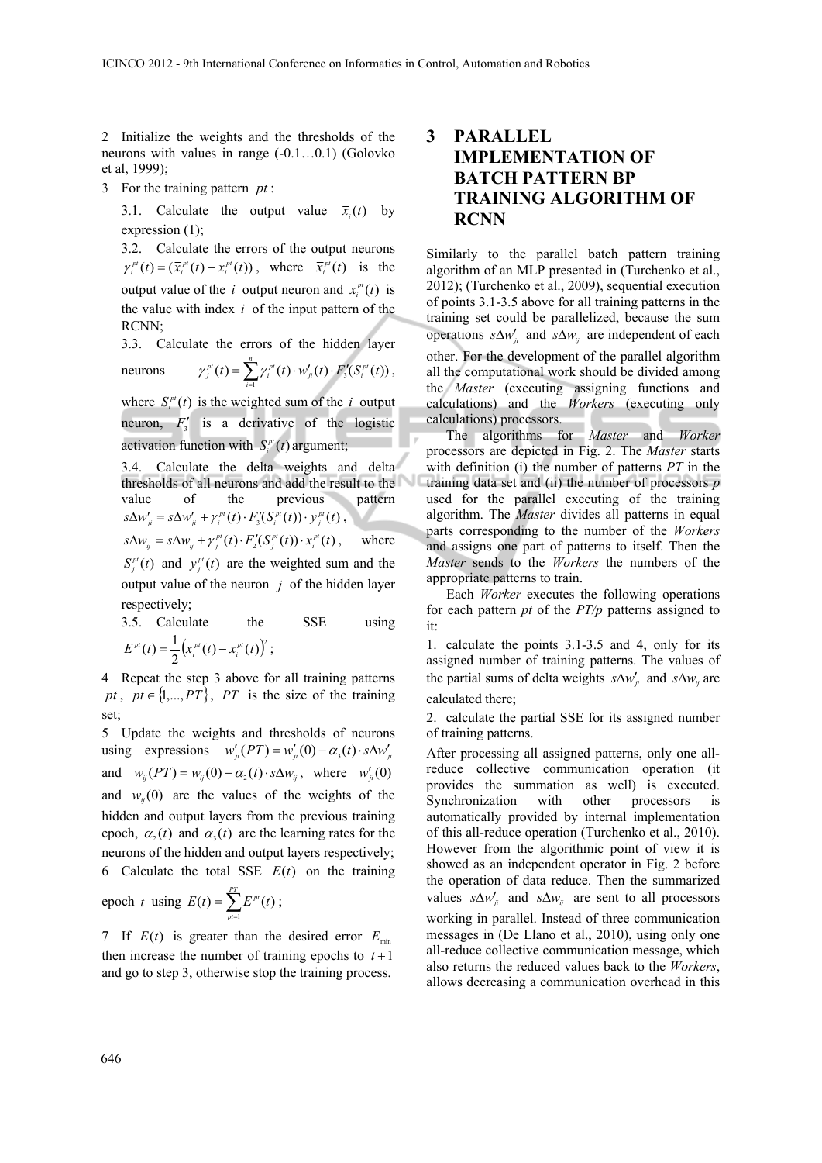2 Initialize the weights and the thresholds of the neurons with values in range (-0.1…0.1) (Golovko et al, 1999);

3 For the training pattern *pt* :

3.1. Calculate the output value  $\bar{x}_i(t)$  by expression (1);

3.2. Calculate the errors of the output neurons  $\gamma_i^{pt}(t) = (\overline{x}_i^{pt}(t) - x_i^{pt}(t))$ , where  $\overline{x}_i^{pt}(t)$  is the output value of the *i* output neuron and  $x_i^{pt}(t)$  is the value with index *i* of the input pattern of the RCNN;

3.3. Calculate the errors of the hidden layer neurons  $\gamma_j^{p} (t) = \sum_{i=1}^n \gamma_i^{p} (t) \cdot w'_{ji} (t) \cdot F'_3$  $\gamma_j^{pt}(t) = \sum_{i=1}^{n} \gamma_i^{pt}(t) \cdot w'_{ji}(t) \cdot F'_3(S_i^{pt}(t)),$ 

*i*

where  $S_i^{\text{pt}}(t)$  is the weighted sum of the *i* output neuron,  $F_3'$  is a derivative of the logistic activation function with  $S_i^{pt}(t)$  argument;

3.4. Calculate the delta weights and delta thresholds of all neurons and add the result to the value of the previous pattern  $s\Delta w'_{ji} = s\Delta w'_{ji} + \gamma_i^{pt}(t) \cdot F'_3(S_i^{pt}(t)) \cdot y_j^{pt}(t)$ ,

 $s\Delta w_{ij} = s\Delta w_{ij} + \gamma_i^{pt}(t) \cdot F'_2(S_i^{pt}(t)) \cdot x_i^{pt}(t)$ , where

 $S_j^{pt}(t)$  and  $y_j^{pt}(t)$  are the weighted sum and the output value of the neuron *j* of the hidden layer respectively;

3.5. Calculate the SSE using  $E^{pt}(t) = \frac{1}{2} \left( \overline{x}_i^{pt}(t) - x_i^{pt}(t) \right)^2;$ 

4 Repeat the step 3 above for all training patterns *pt*,  $pt \in \{1,...,PT\}$ , *PT* is the size of the training set;

5 Update the weights and thresholds of neurons using expressions  $w'_{ii}(PT) = w'_{ii}(0) - \alpha_3(t) \cdot s \Delta w'_{ii}$ and  $w_{ii}(PT) = w_{ii}(0) - \alpha_2(t) \cdot s \Delta w_{ii}$ , where  $w'_{ii}(0)$ and  $w_{ii}(0)$  are the values of the weights of the hidden and output layers from the previous training epoch,  $\alpha_2(t)$  and  $\alpha_3(t)$  are the learning rates for the neurons of the hidden and output layers respectively; 6 Calculate the total SSE  $E(t)$  on the training

epoch *t* using 
$$
E(t) = \sum_{p=1}^{PT} E^{p}(t)
$$
;

7 If  $E(t)$  is greater than the desired error  $E_{min}$ then increase the number of training epochs to  $t+1$ and go to step 3, otherwise stop the training process.

## **3 PARALLEL IMPLEMENTATION OF BATCH PATTERN BP TRAINING ALGORITHM OF RCNN**

Similarly to the parallel batch pattern training algorithm of an MLP presented in (Turchenko et al., 2012); (Turchenko et al., 2009), sequential execution of points 3.1-3.5 above for all training patterns in the training set could be parallelized, because the sum operations  $s\Delta w'_{ij}$  and  $s\Delta w_{ij}$  are independent of each other. For the development of the parallel algorithm all the computational work should be divided among the *Master* (executing assigning functions and calculations) and the *Workers* (executing only calculations) processors.

The algorithms for *Master* and *Worker* processors are depicted in Fig. 2. The *Master* starts with definition (i) the number of patterns *PT* in the training data set and (ii) the number of processors *p* used for the parallel executing of the training algorithm. The *Master* divides all patterns in equal parts corresponding to the number of the *Workers* and assigns one part of patterns to itself. Then the *Master* sends to the *Workers* the numbers of the appropriate patterns to train.

Each *Worker* executes the following operations for each pattern *pt* of the *PT/p* patterns assigned to it:

1. calculate the points 3.1-3.5 and 4, only for its assigned number of training patterns. The values of the partial sums of delta weights  $s\Delta w'_{ii}$  and  $s\Delta w_{ii}$  are calculated there;

2. calculate the partial SSE for its assigned number of training patterns.

After processing all assigned patterns, only one allreduce collective communication operation (it provides the summation as well) is executed. Synchronization with other processors is automatically provided by internal implementation of this all-reduce operation (Turchenko et al., 2010). However from the algorithmic point of view it is showed as an independent operator in Fig. 2 before the operation of data reduce. Then the summarized values  $s\Delta w'_{ii}$  and  $s\Delta w_{ii}$  are sent to all processors working in parallel. Instead of three communication messages in (De Llano et al., 2010), using only one all-reduce collective communication message, which also returns the reduced values back to the *Workers*, allows decreasing a communication overhead in this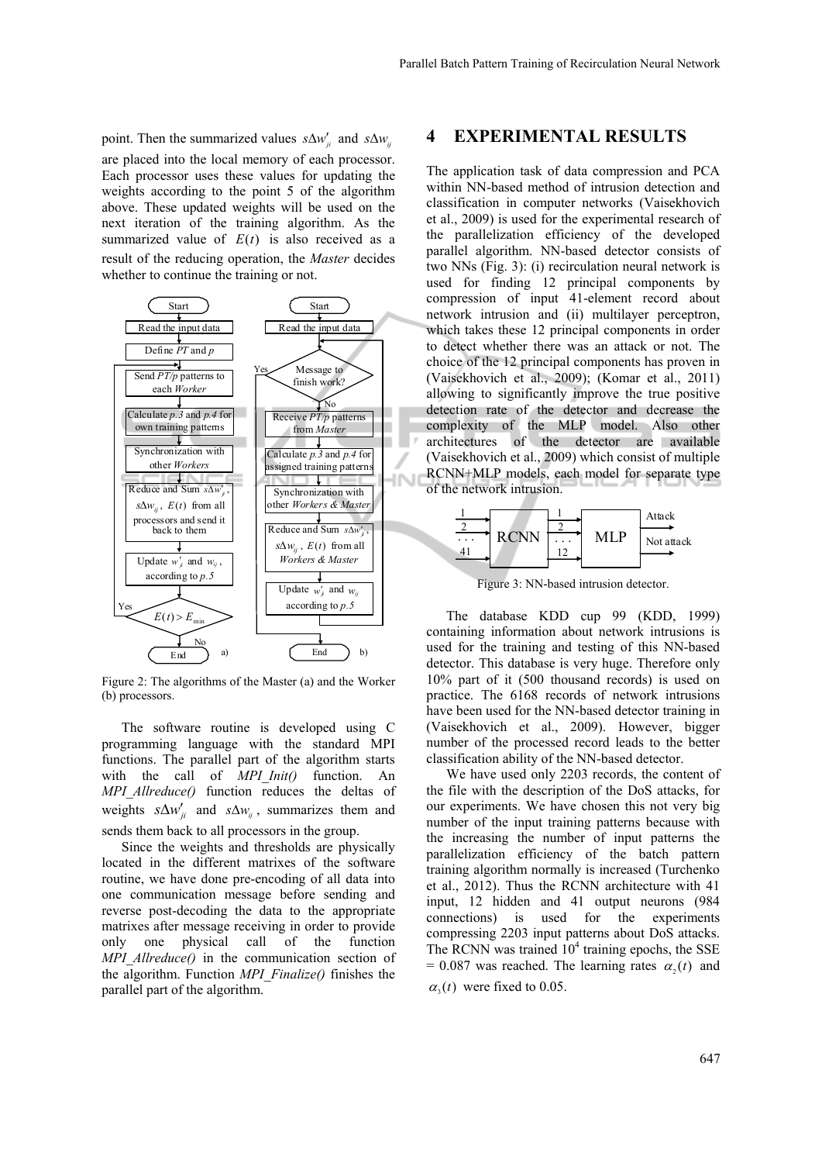point. Then the summarized values  $s\Delta w'_{ij}$  and  $s\Delta w_{ij}$ are placed into the local memory of each processor. Each processor uses these values for updating the weights according to the point 5 of the algorithm above. These updated weights will be used on the next iteration of the training algorithm. As the summarized value of  $E(t)$  is also received as a result of the reducing operation, the *Master* decides whether to continue the training or not.



Figure 2: The algorithms of the Master (a) and the Worker (b) processors.

The software routine is developed using C programming language with the standard MPI functions. The parallel part of the algorithm starts with the call of *MPI Init()* function. An *MPI\_Allreduce()* function reduces the deltas of weights  $s\Delta w'_{ii}$  and  $s\Delta w_{ii}$ , summarizes them and sends them back to all processors in the group.

Since the weights and thresholds are physically located in the different matrixes of the software routine, we have done pre-encoding of all data into one communication message before sending and reverse post-decoding the data to the appropriate matrixes after message receiving in order to provide only one physical call of the function *MPI\_Allreduce()* in the communication section of the algorithm. Function *MPI\_Finalize()* finishes the parallel part of the algorithm.

#### **4 EXPERIMENTAL RESULTS**

The application task of data compression and PCA within NN-based method of intrusion detection and classification in computer networks (Vaisekhovich et al., 2009) is used for the experimental research of the parallelization efficiency of the developed parallel algorithm. NN-based detector consists of two NNs (Fig. 3): (i) recirculation neural network is used for finding 12 principal components by compression of input 41-element record about network intrusion and (ii) multilayer perceptron, which takes these 12 principal components in order to detect whether there was an attack or not. The choice of the 12 principal components has proven in (Vaisekhovich et al., 2009); (Komar et al., 2011) allowing to significantly improve the true positive detection rate of the detector and decrease the complexity of the MLP model. Also other architectures of the detector are available (Vaisekhovich et al., 2009) which consist of multiple RCNN+MLP models, each model for separate type of the network intrusion.



Figure 3: NN-based intrusion detector.

The database KDD cup 99 (KDD, 1999) containing information about network intrusions is used for the training and testing of this NN-based detector. This database is very huge. Therefore only 10% part of it (500 thousand records) is used on practice. The 6168 records of network intrusions have been used for the NN-based detector training in (Vaisekhovich et al., 2009). However, bigger number of the processed record leads to the better classification ability of the NN-based detector.

We have used only 2203 records, the content of the file with the description of the DoS attacks, for our experiments. We have chosen this not very big number of the input training patterns because with the increasing the number of input patterns the parallelization efficiency of the batch pattern training algorithm normally is increased (Turchenko et al., 2012). Thus the RCNN architecture with 41 input, 12 hidden and 41 output neurons (984 connections) is used for the experiments compressing 2203 input patterns about DoS attacks. The RCNN was trained  $10^4$  training epochs, the SSE  $= 0.087$  was reached. The learning rates  $\alpha_{i}(t)$  and  $\alpha_i(t)$  were fixed to 0.05.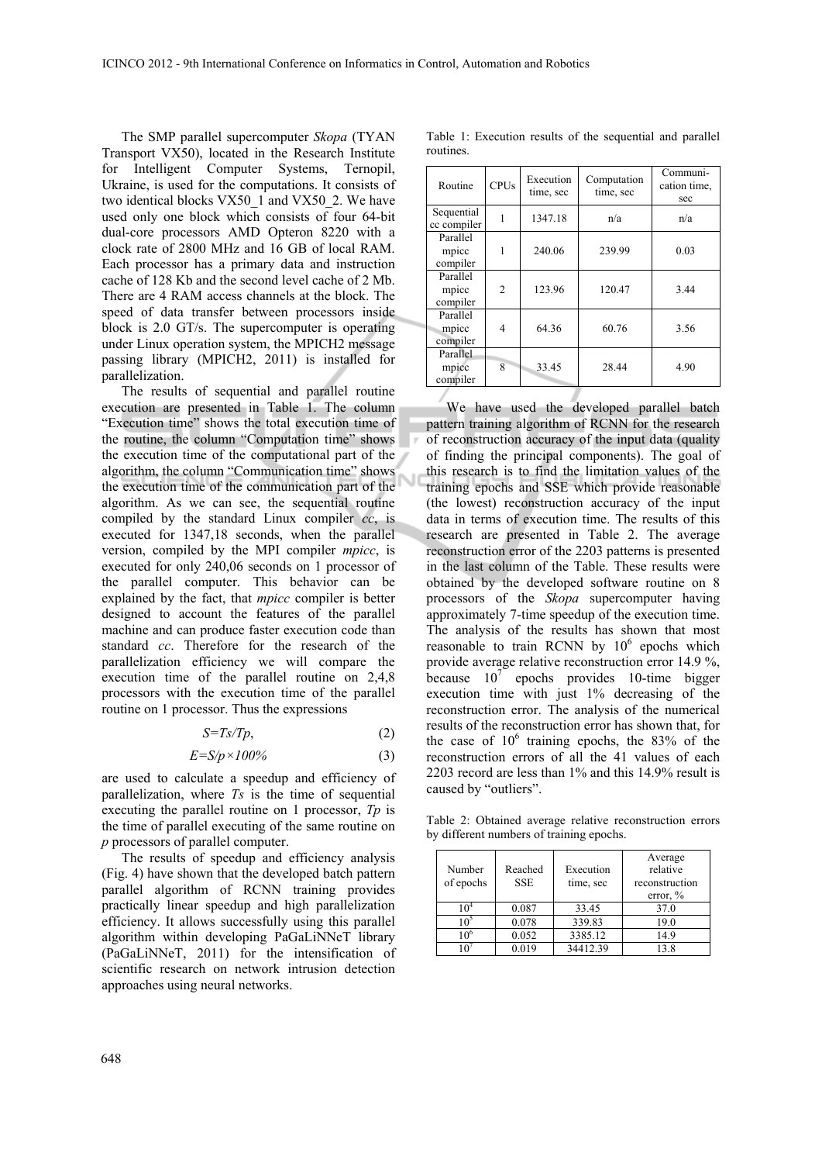The SMP parallel supercomputer *Skopa* (TYAN Transport VX50), located in the Research Institute for Intelligent Computer Systems, Ternopil, Ukraine, is used for the computations. It consists of two identical blocks VX50\_1 and VX50\_2. We have used only one block which consists of four 64-bit dual-core processors AMD Opteron 8220 with a clock rate of 2800 MHz and 16 GB of local RAM. Each processor has a primary data and instruction cache of 128 Kb and the second level cache of 2 Mb. There are 4 RAM access channels at the block. The speed of data transfer between processors inside block is 2.0 GT/s. The supercomputer is operating under Linux operation system, the MPICH2 message passing library (MPICH2, 2011) is installed for parallelization.

The results of sequential and parallel routine execution are presented in Table 1. The column "Execution time" shows the total execution time of the routine, the column "Computation time" shows the execution time of the computational part of the algorithm, the column "Communication time" shows the execution time of the communication part of the algorithm. As we can see, the sequential routine compiled by the standard Linux compiler *cc*, is executed for 1347,18 seconds, when the parallel version, compiled by the MPI compiler *mpicc*, is executed for only 240,06 seconds on 1 processor of the parallel computer. This behavior can be explained by the fact, that *mpicc* compiler is better designed to account the features of the parallel machine and can produce faster execution code than standard *cc*. Therefore for the research of the parallelization efficiency we will compare the execution time of the parallel routine on 2,4,8 processors with the execution time of the parallel routine on 1 processor. Thus the expressions

$$
S = Ts/Tp, \tag{2}
$$

$$
E = S/p \times 100\%
$$
 (3)

are used to calculate a speedup and efficiency of parallelization, where *Ts* is the time of sequential executing the parallel routine on 1 processor, *Tp* is the time of parallel executing of the same routine on *p* processors of parallel computer.

The results of speedup and efficiency analysis (Fig. 4) have shown that the developed batch pattern parallel algorithm of RCNN training provides practically linear speedup and high parallelization efficiency. It allows successfully using this parallel algorithm within developing PaGaLiNNeT library (PaGaLiNNeT, 2011) for the intensification of scientific research on network intrusion detection approaches using neural networks.

Table 1: Execution results of the sequential and parallel routines. Routine  $CPIUs$  Execution time, sec Computation time, sec Communication time, sec Sequential cc compiler 1 1347.18 n/a n/a

1 240.06 239.99 0.03

2 123.96 120.47 3.44

4 64.36 60.76 3.56

8 33.45 28.44 4.90

Parallel mpicc compiler

Parallel mpicc compiler

Parallel mpicc compiler

Parallel mpicc compiler

We have used the developed parallel batch pattern training algorithm of RCNN for the research of reconstruction accuracy of the input data (quality of finding the principal components). The goal of this research is to find the limitation values of the training epochs and SSE which provide reasonable (the lowest) reconstruction accuracy of the input data in terms of execution time. The results of this research are presented in Table 2. The average reconstruction error of the 2203 patterns is presented in the last column of the Table. These results were obtained by the developed software routine on 8 processors of the *Skopa* supercomputer having approximately 7-time speedup of the execution time. The analysis of the results has shown that most reasonable to train RCNN by  $10^6$  epochs which provide average relative reconstruction error 14.9 %, because  $10^7$  epochs provides 10-time bigger execution time with just 1% decreasing of the reconstruction error. The analysis of the numerical results of the reconstruction error has shown that, for the case of  $10^6$  training epochs, the 83% of the reconstruction errors of all the 41 values of each 2203 record are less than 1% and this 14.9% result is caused by "outliers".

Table 2: Obtained average relative reconstruction errors by different numbers of training epochs.

| Number<br>of epochs | Reached<br><b>SSE</b> | Execution<br>time, sec | Average<br>relative<br>reconstruction<br>error, $\%$ |
|---------------------|-----------------------|------------------------|------------------------------------------------------|
|                     | 0.087                 | 33.45                  | 37.0                                                 |
| ഹ                   | 0.078                 | 339.83                 | 19.0                                                 |
| 10 <sup>6</sup>     | 0.052                 | 3385.12                | 14.9                                                 |
|                     | 0.019                 | 34412.39               | 13.8                                                 |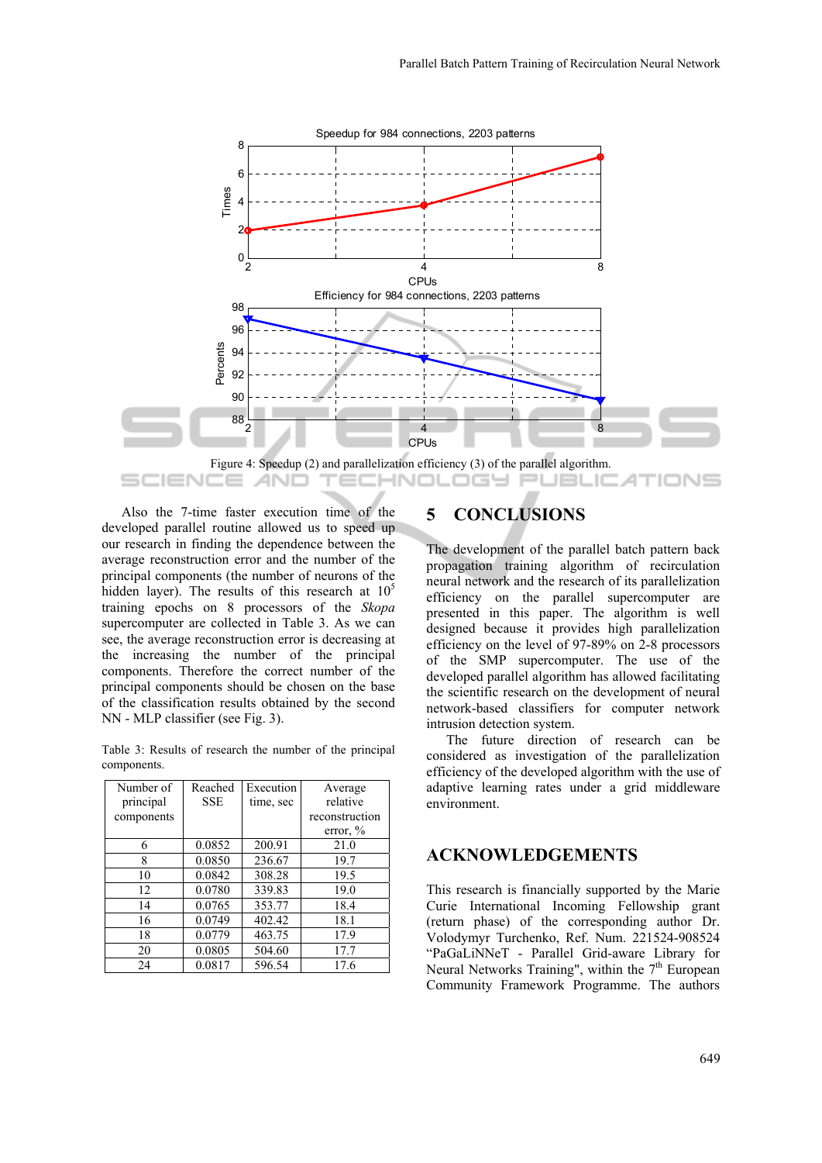

Also the 7-time faster execution time of the developed parallel routine allowed us to speed up our research in finding the dependence between the average reconstruction error and the number of the principal components (the number of neurons of the hidden layer). The results of this research at  $10<sup>5</sup>$ training epochs on 8 processors of the *Skopa* supercomputer are collected in Table 3. As we can see, the average reconstruction error is decreasing at the increasing the number of the principal components. Therefore the correct number of the principal components should be chosen on the base of the classification results obtained by the second NN - MLP classifier (see Fig. 3).

Table 3: Results of research the number of the principal components.

| Number of  | Reached    | Execution | Average        |
|------------|------------|-----------|----------------|
| principal  | <b>SSE</b> | time, sec | relative       |
| components |            |           | reconstruction |
|            |            |           | error, $\%$    |
| 6          | 0.0852     | 200.91    | 21.0           |
| 8          | 0.0850     | 236.67    | 19.7           |
| 10         | 0.0842     | 308.28    | 19.5           |
| 12         | 0.0780     | 339.83    | 19.0           |
| 14         | 0.0765     | 353.77    | 18.4           |
| 16         | 0.0749     | 402.42    | 18.1           |
| 18         | 0.0779     | 463.75    | 17.9           |
| 20         | 0.0805     | 504.60    | 17.7           |
| 24         | 0.0817     | 596.54    | 17.6           |

## **5 CONCLUSIONS**

The development of the parallel batch pattern back propagation training algorithm of recirculation neural network and the research of its parallelization efficiency on the parallel supercomputer are presented in this paper. The algorithm is well designed because it provides high parallelization efficiency on the level of 97-89% on 2-8 processors of the SMP supercomputer. The use of the developed parallel algorithm has allowed facilitating the scientific research on the development of neural network-based classifiers for computer network intrusion detection system.

The future direction of research can be considered as investigation of the parallelization efficiency of the developed algorithm with the use of adaptive learning rates under a grid middleware environment.

#### **ACKNOWLEDGEMENTS**

This research is financially supported by the Marie Curie International Incoming Fellowship grant (return phase) of the corresponding author Dr. Volodymyr Turchenko, Ref. Num. 221524-908524 "PaGaLiNNeT - Parallel Grid-aware Library for Neural Networks Training", within the  $7<sup>th</sup>$  European Community Framework Programme. The authors